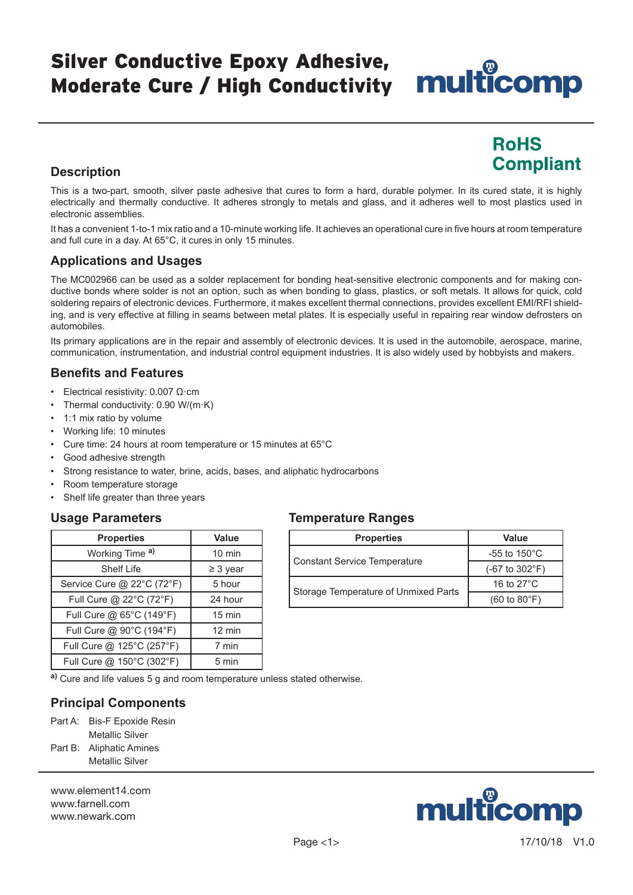## Silver Conductive Epoxy Adhesive, Moderate Cure / High Conductivity

# multicomp

## **RoHS Compliant**

### **Description**

This is a two-part, smooth, silver paste adhesive that cures to form a hard, durable polymer. In its cured state, it is highly electrically and thermally conductive. It adheres strongly to metals and glass, and it adheres well to most plastics used in electronic assemblies.

It has a convenient 1-to-1 mix ratio and a 10-minute working life. It achieves an operational cure in five hours at room temperature and full cure in a day. At 65°C, it cures in only 15 minutes.

#### **Applications and Usages**

The MC002966 can be used as a solder replacement for bonding heat-sensitive electronic components and for making conductive bonds where solder is not an option, such as when bonding to glass, plastics, or soft metals. It allows for quick, cold soldering repairs of electronic devices. Furthermore, it makes excellent thermal connections, provides excellent EMI/RFI shielding, and is very effective at filling in seams between metal plates. It is especially useful in repairing rear window defrosters on automobiles.

Its primary applications are in the repair and assembly of electronic devices. It is used in the automobile, aerospace, marine, communication, instrumentation, and industrial control equipment industries. It is also widely used by hobbyists and makers.

#### **Benefits and Features**

- Electrical resistivity: 0.007 Ω·cm
- Thermal conductivity: 0.90 W/(m·K)
- 1:1 mix ratio by volume
- Working life: 10 minutes
- Cure time: 24 hours at room temperature or 15 minutes at 65°C
- Good adhesive strength
- Strong resistance to water, brine, acids, bases, and aliphatic hydrocarbons
- Room temperature storage
- Shelf life greater than three years

#### **Usage Parameters**

| <b>Properties</b>          | Value            |
|----------------------------|------------------|
| Working Time a)            | $10 \text{ min}$ |
| <b>Shelf Life</b>          | $\geq$ 3 year    |
| Service Cure @ 22°C (72°F) | 5 hour           |
| Full Cure @ 22°C (72°F)    | 24 hour          |
| Full Cure @ 65°C (149°F)   | 15 min           |
| Full Cure @ 90°C (194°F)   | 12 min           |
| Full Cure @ 125°C (257°F)  | 7 min            |
| Full Cure @ 150°C (302°F)  | 5 min            |

#### **Temperature Ranges**

| <b>Properties</b>                    | Value                                    |  |
|--------------------------------------|------------------------------------------|--|
|                                      | -55 to $150^{\circ}$ C                   |  |
| Constant Service Temperature         | $(-67 \text{ to } 302^{\circ} \text{F})$ |  |
|                                      | 16 to $27^{\circ}$ C                     |  |
| Storage Temperature of Unmixed Parts | $(60 \text{ to } 80^{\circ} \text{F})$   |  |

**a)** Cure and life values 5 g and room temperature unless stated otherwise.

#### **Principal Components**

Part A: Bis-F Epoxide Resin Metallic Silver Part B: Aliphatic Amines Metallic Silver

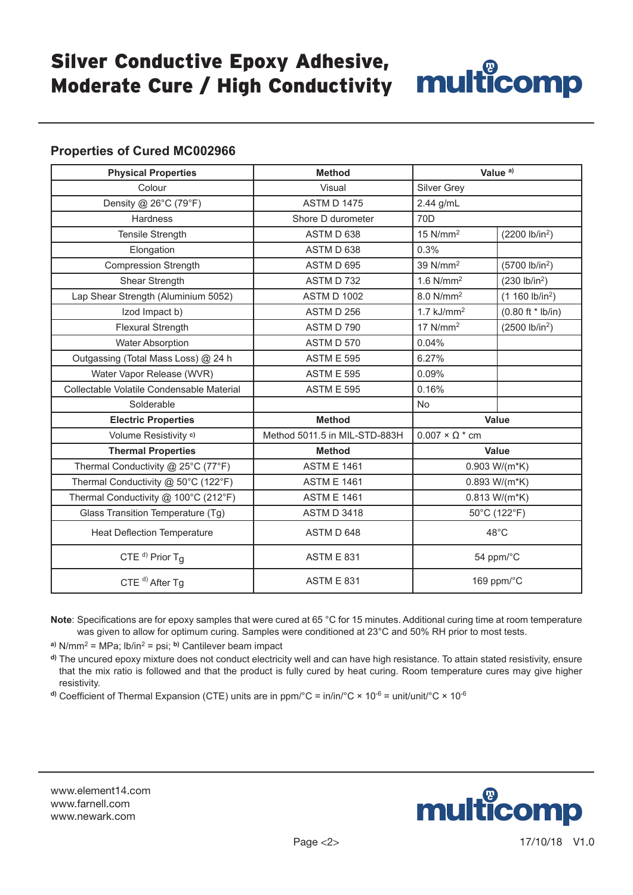## Silver Conductive Epoxy Adhesive, Suver Conductive Epoxy Admesive, Multicomp

#### **Properties of Cured MC002966**

| <b>Physical Properties</b>                | <b>Method</b>                 | Value <sup>a)</sup>        |                                    |
|-------------------------------------------|-------------------------------|----------------------------|------------------------------------|
| Colour                                    | Visual                        | Silver Grey                |                                    |
| Density @ 26°C (79°F)                     | <b>ASTM D 1475</b>            | 2.44 g/mL                  |                                    |
| Hardness                                  | Shore D durometer             | 70D                        |                                    |
| Tensile Strength                          | ASTM D 638                    | $15$ N/mm <sup>2</sup>     | (2200 lb/in <sup>2</sup> )         |
| Elongation                                | ASTM D 638                    | 0.3%                       |                                    |
| Compression Strength                      | ASTM D 695                    | 39 N/mm <sup>2</sup>       | (5700 lb/in <sup>2</sup> )         |
| Shear Strength                            | ASTM D 732                    | $1.6$ N/mm <sup>2</sup>    | (230 lb/in <sup>2</sup> )          |
| Lap Shear Strength (Aluminium 5052)       | <b>ASTM D 1002</b>            | 8.0 N/mm <sup>2</sup>      | (1 160 lb/in <sup>2</sup> )        |
| Izod Impact b)                            | ASTM D 256                    | $1.7$ kJ/mm <sup>2</sup>   | $(0.80 \text{ ft} * \text{lb/in})$ |
| <b>Flexural Strength</b>                  | ASTM D 790                    | $17$ N/mm <sup>2</sup>     | (2500 lb/in <sup>2</sup> )         |
| <b>Water Absorption</b>                   | ASTM D 570                    | 0.04%                      |                                    |
| Outgassing (Total Mass Loss) @ 24 h       | <b>ASTM E 595</b>             | 6.27%                      |                                    |
| Water Vapor Release (WVR)                 | ASTM E 595                    | 0.09%                      |                                    |
| Collectable Volatile Condensable Material | <b>ASTM E 595</b>             | 0.16%                      |                                    |
| Solderable                                |                               | <b>No</b>                  |                                    |
| <b>Electric Properties</b>                | <b>Method</b>                 | <b>Value</b>               |                                    |
| Volume Resistivity c)                     | Method 5011.5 in MIL-STD-883H | $0.007 \times \Omega^*$ cm |                                    |
| <b>Thermal Properties</b>                 | <b>Method</b>                 | Value                      |                                    |
| Thermal Conductivity @ 25°C (77°F)        | <b>ASTM E 1461</b>            | $0.903 W/(m*K)$            |                                    |
| Thermal Conductivity @ 50°C (122°F)       | <b>ASTM E 1461</b>            | $0.893 W/(m*K)$            |                                    |
| Thermal Conductivity @ 100°C (212°F)      | <b>ASTM E 1461</b>            | $0.813 W/(m*K)$            |                                    |
| Glass Transition Temperature (Tg)         | <b>ASTM D 3418</b>            | 50°C (122°F)               |                                    |
| <b>Heat Deflection Temperature</b>        | ASTM D 648                    | $48^{\circ}$ C             |                                    |
| CTE <sup>d)</sup> Prior $T_g$             | <b>ASTM E 831</b>             | 54 ppm/°C                  |                                    |
| CTE $d$ ) After Tg                        | <b>ASTM E 831</b>             | 169 ppm/°C                 |                                    |

**Note**: Specifications are for epoxy samples that were cured at 65 °C for 15 minutes. Additional curing time at room temperature was given to allow for optimum curing. Samples were conditioned at 23°C and 50% RH prior to most tests.

**a)** N/mm2 = MPa; lb/in2 = psi; **b)** Cantilever beam impact

**d)** The uncured epoxy mixture does not conduct electricity well and can have high resistance. To attain stated resistivity, ensure that the mix ratio is followed and that the product is fully cured by heat curing. Room temperature cures may give higher resistivity.

<sup>d)</sup> Coefficient of Thermal Expansion (CTE) units are in ppm/°C = in/in/°C × 10<sup>-6</sup> = unit/unit/°C × 10<sup>-6</sup>

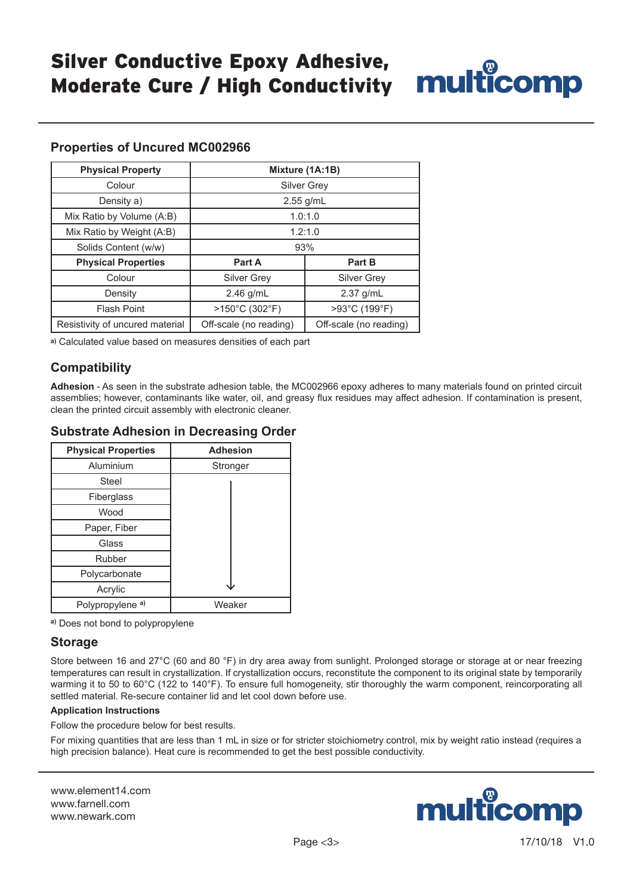

| <b>Physical Property</b>        | Mixture (1A:1B)                                  |                    |  |
|---------------------------------|--------------------------------------------------|--------------------|--|
| Colour                          | <b>Silver Grey</b>                               |                    |  |
| Density a)                      | $2.55$ g/mL                                      |                    |  |
| Mix Ratio by Volume (A:B)       | 1.0:1.0                                          |                    |  |
| Mix Ratio by Weight (A:B)       | 1.2:1.0                                          |                    |  |
| Solids Content (w/w)            | 93%                                              |                    |  |
| <b>Physical Properties</b>      | Part A                                           | Part B             |  |
| Colour                          | <b>Silver Grey</b>                               | <b>Silver Grev</b> |  |
| Density                         | $2.46$ g/mL                                      | $2.37$ g/mL        |  |
| <b>Flash Point</b>              | >150°C (302°F)                                   | >93°C (199°F)      |  |
| Resistivity of uncured material | Off-scale (no reading)<br>Off-scale (no reading) |                    |  |

**Properties of Uncured MC002966**

**a)** Calculated value based on measures densities of each part

#### **Compatibility**

**Adhesion** - As seen in the substrate adhesion table, the MC002966 epoxy adheres to many materials found on printed circuit assemblies; however, contaminants like water, oil, and greasy flux residues may affect adhesion. If contamination is present, clean the printed circuit assembly with electronic cleaner.

|  |  | <b>Substrate Adhesion in Decreasing Order</b> |  |
|--|--|-----------------------------------------------|--|
|--|--|-----------------------------------------------|--|

| <b>Physical Properties</b>  | <b>Adhesion</b> |
|-----------------------------|-----------------|
| Aluminium                   | Stronger        |
| Steel                       |                 |
| Fiberglass                  |                 |
| Wood                        |                 |
| Paper, Fiber                |                 |
| Glass                       |                 |
| Rubber                      |                 |
| Polycarbonate               |                 |
| Acrylic                     |                 |
| Polypropylene <sup>a)</sup> | Weaker          |

**a)** Does not bond to polypropylene

#### **Storage**

Store between 16 and 27°C (60 and 80 °F) in dry area away from sunlight. Prolonged storage or storage at or near freezing temperatures can result in crystallization. If crystallization occurs, reconstitute the component to its original state by temporarily warming it to 50 to 60°C (122 to 140°F). To ensure full homogeneity, stir thoroughly the warm component, reincorporating all settled material. Re-secure container lid and let cool down before use.

#### **Application Instructions**

Follow the procedure below for best results.

For mixing quantities that are less than 1 mL in size or for stricter stoichiometry control, mix by weight ratio instead (requires a high precision balance). Heat cure is recommended to get the best possible conductivity.